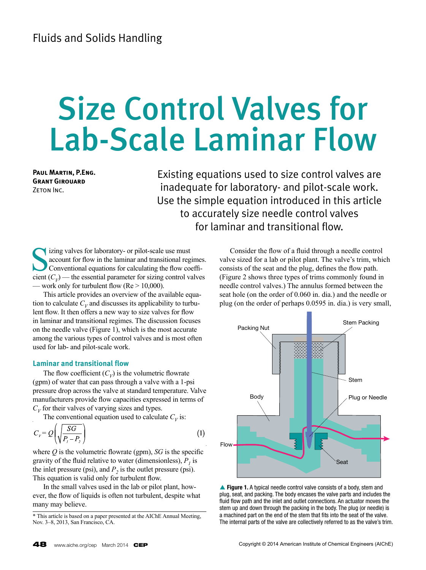# Size Control Valves for Lab-Scale Laminar Flow

**Paul Martin, P.Eng. Grant Girouard** ZETON INC.

Existing equations used to size control valves are inadequate for laboratory- and pilot-scale work. Use the simple equation introduced in this article to accurately size needle control valves for laminar and transitional flow.

izing valves for laboratory- or pilot-scale use must account for flow in the laminar and transitional regimes. Conventional equations for calculating the flow coefficient  $(C_V)$  — the essential parameter for sizing control valves — work only for turbulent flow  $(Re > 10,000)$ .

This article provides an overview of the available equation to calculate  $C_V$  and discusses its applicability to turbulent flow. It then offers a new way to size valves for flow in laminar and transitional regimes. The discussion focuses on the needle valve (Figure 1), which is the most accurate among the various types of control valves and is most often used for lab- and pilot-scale work.

## **Laminar and transitional flow**

The flow coefficient  $(C_V)$  is the volumetric flowrate (gpm) of water that can pass through a valve with a 1-psi pressure drop across the valve at standard temperature. Valve manufacturers provide flow capacities expressed in terms of  $C_V$  for their valves of varying sizes and types.

The conventional equation used to calculate  $C_V$  is:

$$
C_{\nu} = Q\left(\sqrt{\frac{SG}{P_1 - P_2}}\right) \tag{1}
$$

where  $Q$  is the volumetric flowrate (gpm),  $SG$  is the specific gravity of the fluid relative to water (dimensionless),  $P<sub>1</sub>$  is the inlet pressure (psi), and  $P_2$  is the outlet pressure (psi). This equation is valid only for turbulent flow.

In the small valves used in the lab or pilot plant, however, the flow of liquids is often not turbulent, despite what many may believe.

Consider the flow of a fluid through a needle control valve sized for a lab or pilot plant. The valve's trim, which consists of the seat and the plug, defines the flow path. (Figure 2 shows three types of trims commonly found in needle control valves.) The annulus formed between the seat hole (on the order of 0.060 in. dia.) and the needle or plug (on the order of perhaps 0.0595 in. dia.) is very small,





<sup>\*</sup> This article is based on a paper presented at the AIChE Annual Meeting, Nov. 3–8, 2013, San Francisco, CA.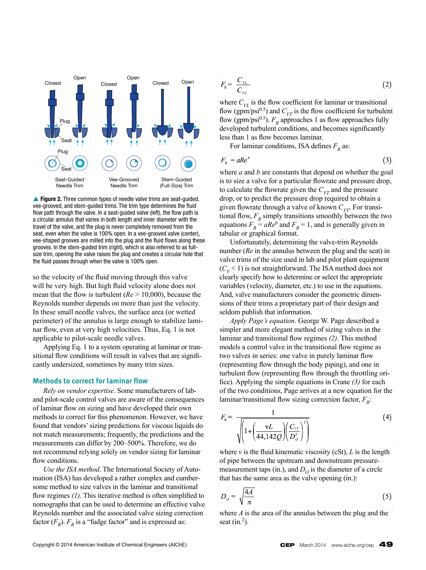

▲ Figure 2. Three common types of needle valve trims are seat-quided, vee-grooved, and stem-guided trims. The trim type determines the fluid flow path through the valve. In a seat-guided valve (left), the flow path is a circular annulus that varies in both length and inner diameter with the travel of the valve, and the plug is never completely removed from the seat, even when the valve is 100% open. In a vee-grooved valve (center), vee-shaped grooves are milled into the plug and the fluid flows along these grooves. In the stem-guided trim (right), which is also referred to as fullsize trim, opening the valve raises the plug and creates a circular hole that the fluid passes through when the valve is 100% open.

so the velocity of the fluid moving through this valve will be very high. But high fluid velocity alone does not mean that the flow is turbulent (*Re* > 10,000), because the Reynolds number depends on more than just the velocity. In these small needle valves, the surface area (or wetted perimeter) of the annulus is large enough to stabilize laminar flow, even at very high velocities. Thus, Eq. 1 is not applicable to pilot-scale needle valves.

Applying Eq. 1 to a system operating at laminar or transitional flow conditions will result in valves that are significantly undersized, sometimes by many trim sizes.

### **Methods to correct for laminar flow**

*Rely on vendor expertise*. Some manufacturers of laband pilot-scale control valves are aware of the consequences of laminar flow on sizing and have developed their own methods to correct for this phenomenon. However, we have found that vendors' sizing predictions for viscous liquids do not match measurements; frequently, the predictions and the measurements can differ by 200–500%. Therefore, we do not recommend relying solely on vendor sizing for laminar flow conditions.

*Use the ISA method*. The International Society of Automation (ISA) has developed a rather complex and cumbersome method to size valves in the laminar and transitional flow regimes *(1)*. This iterative method is often simplified to nomographs that can be used to determine an effective valve Reynolds number and the associated valve sizing correction factor  $(F_R)$ .  $F_R$  is a "fudge factor" and is expressed as:

$$
F_{R} = \frac{C_{\nu L}}{C_{\nu T}} \tag{2}
$$

where  $C_{VI}$  is the flow coefficient for laminar or transitional flow (gpm/psi<sup>0.5</sup>) and  $C_{VT}$  is the flow coefficient for turbulent flow (gpm/psi<sup>0.5</sup>).  $F_R$  approaches 1 as flow approaches fully developed turbulent conditions, and becomes significantly less than 1 as flow becomes laminar.

For laminar conditions, ISA defines  $F_p$  as:

$$
F_{R} = aRe^{b} \tag{3}
$$

where *a* and *b* are constants that depend on whether the goal is to size a valve for a particular flowrate and pressure drop, to calculate the flowrate given the  $C_{VT}$  and the pressure drop, or to predict the pressure drop required to obtain a given flowrate through a valve of known  $C_{VT}$ . For transitional flow,  $F_R$  simply transitions smoothly between the two equations  $F_R = aRe^b$  and  $F_R = 1$ , and is generally given in tabular or graphical format.

Unfortunately, determining the valve-trim Reynolds number (*Re* in the annulus between the plug and the seat) in valve trims of the size used in lab and pilot plant equipment  $(C_V < 1)$  is not straightforward. The ISA method does not clearly specify how to determine or select the appropriate variables (velocity, diameter, etc.) to use in the equations. And, valve manufacturers consider the geometric dimensions of their trims a proprietary part of their design and seldom publish that information.

*Apply Page's equation*. George W. Page described a simpler and more elegant method of sizing valves in the laminar and transitional flow regimes *(2)*. This method models a control valve in the transitional flow regime as two valves in series: one valve in purely laminar flow (representing flow through the body piping), and one in turbulent flow (representing flow through the throttling orifice). Applying the simple equations in Crane *(3)* for each of the two conditions, Page arrives at a new equation for the laminar/transitional flow sizing correction factor,  $F_R$ :

$$
F_{R} = \frac{1}{\sqrt{\left(1 + \left(\frac{\mathbf{v}L}{44,142Q}\right)\left(\frac{C_{VT}}{D_o^2}\right)^2\right)}}
$$
(4)

where  $\nu$  is the fluid kinematic viscosity (cSt),  $L$  is the length of pipe between the upstream and downstream pressuremeasurement taps (in.), and  $D<sub>O</sub>$  is the diameter of a circle that has the same area as the valve opening (in.):

$$
D_o = \sqrt{\frac{4A}{\pi}}\tag{5}
$$

where *A* is the area of the annulus between the plug and the seat  $(in.^2)$ .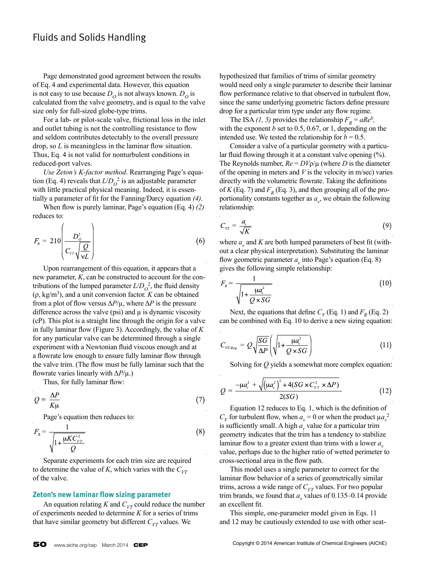Page demonstrated good agreement between the results of Eq. 4 and experimental data. However, this equation is not easy to use because  $D<sub>O</sub>$  is not always known.  $D<sub>O</sub>$  is calculated from the valve geometry, and is equal to the valve size only for full-sized globe-type trims.

For a lab- or pilot-scale valve, frictional loss in the inlet and outlet tubing is not the controlling resistance to flow and seldom contributes detectably to the overall pressure drop, so *L* is meaningless in the laminar flow situation. Thus, Eq. 4 is not valid for nonturbulent conditions in reduced-port valves.

*Use Zeton's K-factor method*. Rearranging Page's equation (Eq. 4) reveals that  $L/D<sub>O</sub><sup>2</sup>$  is an adjustable parameter with little practical physical meaning. Indeed, it is essentially a parameter of fit for the Fanning/Darcy equation *(4)*.

When flow is purely laminar, Page's equation (Eq. 4) *(2)* reduces to:

$$
F_{R} = 210 \left( \frac{D_{o}^{2}}{C_{VT} \sqrt{\frac{Q}{\nu L}}} \right)
$$
 (6)

Upon rearrangement of this equation, it appears that a new parameter, *K*, can be constructed to account for the contributions of the lumped parameter  $L/D<sub>O</sub><sup>2</sup>$ , the fluid density  $(\rho, \text{kg/m}^3)$ , and a unit conversion factor. *K* can be obtained from a plot of flow versus  $\Delta P/\mu$ , where  $\Delta P$  is the pressure difference across the valve (psi) and  $\mu$  is dynamic viscosity (cP). This plot is a straight line through the origin for a valve in fully laminar flow (Figure 3). Accordingly, the value of *K* for any particular valve can be determined through a single experiment with a Newtonian fluid viscous enough and at a flowrate low enough to ensure fully laminar flow through the valve trim. (The flow must be fully laminar such that the flowrate varies linearly with Δ*P*/µ.)

Thus, for fully laminar flow:

$$
Q = \frac{\Delta P}{K\mu} \tag{7}
$$

Page's equation then reduces to:

$$
F_{R} = \frac{1}{\sqrt{1 + \frac{\mu KC_{\nu\tau}^2}{Q}}}
$$
(8)

Separate experiments for each trim size are required to determine the value of *K*, which varies with the  $C_{VT}$ of the valve.

#### **Zeton's new laminar flow sizing parameter**

An equation relating *K* and  $C_{VT}$  could reduce the number of experiments needed to determine *K* for a series of trims that have similar geometry but different  $C_{VT}$  values. We

hypothesized that families of trims of similar geometry would need only a single parameter to describe their laminar flow performance relative to that observed in turbulent flow, since the same underlying geometric factors define pressure drop for a particular trim type under any flow regime.

The ISA (1, 5) provides the relationship  $F_R = aRe^b$ , with the exponent *b* set to 0.5, 0.67, or 1, depending on the intended use. We tested the relationship for  $b = 0.5$ .

Consider a valve of a particular geometry with a particular fluid flowing through it at a constant valve opening (%). The Reynolds number,  $Re = D V \rho / \mu$  (where *D* is the diameter of the opening in meters and *V* is the velocity in m/sec) varies directly with the volumetric flowrate. Taking the definitions of  $K$  (Eq. 7) and  $F_R$  (Eq. 3), and then grouping all of the proportionality constants together as  $a_{\nu}$ , we obtain the following relationship:

$$
C_{\nu\tau} = \frac{a_{\nu}}{\sqrt{K}}\tag{9}
$$

where  $a_{\nu}$  and  $K$  are both lumped parameters of best fit (without a clear physical interpretation). Substituting the laminar flow geometric parameter  $a<sub>v</sub>$  into Page's equation (Eq. 8) gives the following simple relationship:

$$
F_{R} = \frac{1}{\sqrt{1 + \frac{\mu a_{\nu}^{2}}{Q \times SG}}}
$$
(10)

Next, the equations that define  $C_V$  (Eq. 1) and  $F_R$  (Eq. 2) can be combined with Eq. 10 to derive a new sizing equation:

$$
C_{\nu_{T\text{-}Reg}} = Q \sqrt{\frac{SG}{\Delta P}} \left( \sqrt{1 + \frac{\mu a_{\nu}^2}{Q \times SG}} \right) \tag{11}
$$

Solving for *Q* yields a somewhat more complex equation:

$$
Q = \frac{-\mu a_v^2 + \sqrt{(\mu a_v^2)^2 + 4(SG \times C_{\nu_T}^2 \times \Delta P)}}{2(SG)}
$$
(12)

Equation 12 reduces to Eq. 1, which is the definition of  $C_V$  for turbulent flow, when  $a_V = 0$  or when the product  $\mu a_V^2$ is sufficiently small. A high  $a_{\nu}$  value for a particular trim geometry indicates that the trim has a tendency to stabilize laminar flow to a greater extent than trims with a lower *a*<sub>v</sub> value, perhaps due to the higher ratio of wetted perimeter to cross-sectional area in the flow path.

This model uses a single parameter to correct for the laminar flow behavior of a series of geometrically similar trims, across a wide range of  $C_{VT}$  values. For two popular trim brands, we found that  $a<sub>v</sub>$  values of 0.135–0.14 provide an excellent fit.

This simple, one-parameter model given in Eqs. 11 and 12 may be cautiously extended to use with other seat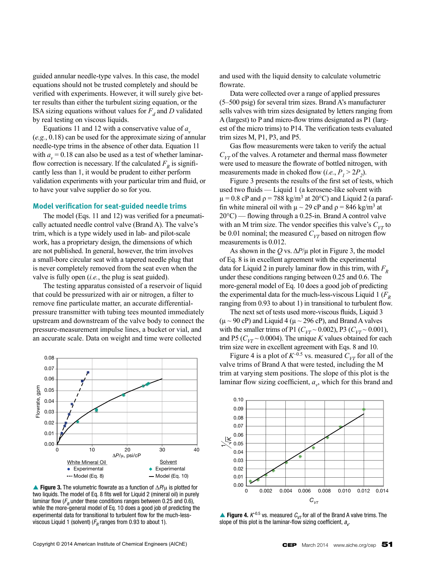guided annular needle-type valves. In this case, the model equations should not be trusted completely and should be verified with experiments. However, it will surely give better results than either the turbulent sizing equation, or the ISA sizing equations without values for  $F_d$  and *D* validated by real testing on viscous liquids.

Equations 11 and 12 with a conservative value of  $a<sub>v</sub>$ (*e.g.*, 0.18) can be used for the approximate sizing of annular needle-type trims in the absence of other data. Equation 11 with  $a_v = 0.18$  can also be used as a test of whether laminarflow correction is necessary. If the calculated  $F<sub>R</sub>$  is significantly less than 1, it would be prudent to either perform validation experiments with your particular trim and fluid, or to have your valve supplier do so for you.

### **Model verification for seat-guided needle trims**

The model (Eqs. 11 and 12) was verified for a pneumatically actuated needle control valve (Brand A). The valve's trim, which is a type widely used in lab- and pilot-scale work, has a proprietary design, the dimensions of which are not published. In general, however, the trim involves a small-bore circular seat with a tapered needle plug that is never completely removed from the seat even when the valve is fully open (*i.e.*, the plug is seat guided).

The testing apparatus consisted of a reservoir of liquid that could be pressurized with air or nitrogen, a filter to remove fine particulate matter, an accurate differentialpressure transmitter with tubing tees mounted immediately upstream and downstream of the valve body to connect the pressure-measurement impulse lines, a bucket or vial, and an accurate scale. Data on weight and time were collected



**A Figure 3.** The volumetric flowrate as a function of Δ*P*/μ is plotted for two liquids. The model of Eq. 8 fits well for Liquid 2 (mineral oil) in purely laminar flow  $(F_R$  under these conditions ranges between 0.25 and 0.6), while the more-general model of Eq. 10 does a good job of predicting the experimental data for transitional to turbulent flow for the much-lessviscous Liquid 1 (solvent) ( $F_R$  ranges from 0.93 to about 1).

and used with the liquid density to calculate volumetric flowrate.

Data were collected over a range of applied pressures (5–500 psig) for several trim sizes. Brand A's manufacturer sells valves with trim sizes designated by letters ranging from A (largest) to P and micro-flow trims designated as P1 (largest of the micro trims) to P14. The verification tests evaluated trim sizes M, P1, P3, and P5.

Gas flow measurements were taken to verify the actual  $C_{VT}$  of the valves. A rotameter and thermal mass flowmeter were used to measure the flowrate of bottled nitrogen, with measurements made in choked flow (*i.e.*,  $P_1 > 2P_2$ ).

Figure 3 presents the results of the first set of tests, which used two fluids — Liquid 1 (a kerosene-like solvent with  $\mu$  = 0.8 cP and  $\rho$  = 788 kg/m<sup>3</sup> at 20°C) and Liquid 2 (a paraffin white mineral oil with  $\mu \sim 29$  cP and  $\rho = 846$  kg/m<sup>3</sup> at 20°C) — flowing through a 0.25-in. Brand A control valve with an M trim size. The vendor specifies this valve's  $C_{VT}$  to be 0.01 nominal; the measured  $C_{VT}$  based on nitrogen flow measurements is 0.012.

As shown in the *Q* vs.  $\Delta P/\mu$  plot in Figure 3, the model of Eq. 8 is in excellent agreement with the experimental data for Liquid 2 in purely laminar flow in this trim, with  $F<sub>p</sub>$ under these conditions ranging between 0.25 and 0.6. The more-general model of Eq. 10 does a good job of predicting the experimental data for the much-less-viscous Liquid 1 ( $F<sub>p</sub>$ ) ranging from 0.93 to about 1) in transitional to turbulent flow.

The next set of tests used more-viscous fluids, Liquid 3  $(\mu \sim 90 \text{ cP})$  and Liquid 4 ( $\mu \sim 296 \text{ cP}$ ), and Brand A valves with the smaller trims of P1 ( $C_{VT} \sim 0.002$ ), P3 ( $C_{VT} \sim 0.001$ ), and P5 ( $C_{VT}$  ~ 0.0004). The unique *K* values obtained for each trim size were in excellent agreement with Eqs. 8 and 10.

Figure 4 is a plot of  $K^{-0.5}$  vs. measured  $C_{VT}$  for all of the valve trims of Brand A that were tested, including the M trim at varying stem positions. The slope of this plot is the laminar flow sizing coefficient,  $a_{\nu}$ , which for this brand and



**Figure 4.**  $K^{-0.5}$  vs. measured  $C_{VI}$  for all of the Brand A valve trims. The slope of this plot is the laminar-flow sizing coefficient,  $a_{_{V}}$